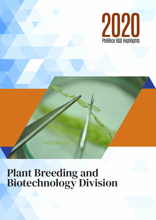

# Plant Breeding and Biotechnology Division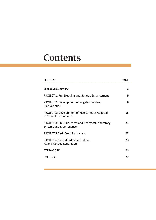# **Contents**

| <b>SECTIONS</b>                                                                      | PAGF |
|--------------------------------------------------------------------------------------|------|
| Executive Summary                                                                    | 3    |
| <b>PROJECT 1: Pre-Breeding and Genetic Enhancement</b>                               | 6    |
| PROJECT 2: Development of Irrigated Lowland<br><b>Rice Varieties</b>                 | 9    |
| <b>PROJECT 3: Development of Rice Varieties Adapted</b><br>to Stress Environments    | 15   |
| <b>PROJECT 4: PBBD Research and Analytical Laboratory</b><br>Systems and Maintenance | 21   |
| <b>PROJECT 5: Basic Seed Production</b>                                              | 22   |
| PROJECT 6: Centralized hybridization,<br>F1 and F2 seed generation                   | 23   |
| EXTRA-CORE                                                                           | 24   |
| <b>EXTERNAL</b>                                                                      | 27   |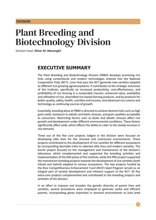#### **DIVISION**

# Plant Breeding and Biotechnology Division

Division head: **Oliver M. Manangkil**

## **EXECUTIVE SUMMARY**

The Plant Breeding and Biotechnology Division (PBBD) develops promising rice lines using conventional and modern technologies entered into the National Cooperative Trials (NCT). Lines that pass the NCT generate new varieties adapted to different rice-growing agroecosystems. It contributes to the strategic outcomes of the Institute, specifically on increased productivity, cost-effectiveness, and profitability of rice farming in a sustainable manner; enhanced value, availability and utilization of rice, diversified rice-based farming products, and by-products for better quality, safety, health, nutrition and income; and advanced rice science and technology as continuing sources of growth.

Essentially, breeding done at PBBD is directed to achieve desired traits such as high grain yield, resistance to abiotic and biotic stresses, and grain qualities acceptable to consumers. Restricting factors such as biotic and abiotic stresses affect rice growth and development under different environmental conditions. These factors significantly affect yield, which affects the ability to cater to the steady increase in rice demand.

Three out of the five core projects lodged in the division were focused on developing elite lines for the stressed and unstressed environments. These projects contributed to the development of rice varieties for different ecosystems by incorporating desirable traits to selected elite lines and modern varieties. The fourth project focused on the management and maintenance of the division's laboratory, which complemented and supported the breeding activities and implementation of the IMS policy of the Institute, while the fifth project supported the mainstream breeding projects towards the development of rice varieties (both inbred and hybrid) adapted to various ecosystems. The two projects funded by the Rice Competitiveness Enhancement Fund (RCEF) Seed Program served as an integral part of varietal development and inherent support to the NCT. All five extra-core projects complemented and contributed to the breeding projects and activities of the division.

In an effort to improve and broaden the genetic diversity of parent lines and varieties, several procedures were employed to generate useful and efficient parents. Incorporating genes important in stressed environments to lines bred

**3**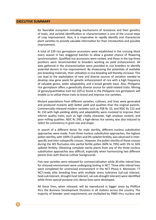#### **EXECUTIVE SUMMARY**

for favorable ecosystem including mechanisms of resistance and their genetics of traits, and varietal identification or characterization is one of the crucial steps of crop improvement. Also, it is imperative to rapidly identify and characterize plant varieties to provide valuable information for their introduction and possible improvement.

A total of 239 rice germplasm accessions were established in the crossing block every season in two staggered batches to allow a greater chance of flowering synchronization. Qualified rice accessions were ranked, and those in the top three positions were recommended to breeders working on yield enhancement. All data gathered in the characterization were provided to rice breeders to identify potential donors in rice improvement. By showcasing the potentials of available pre-breeding materials, their utilization in rice breeding will thereby increase. This can lead to the exploitation of new and diverse sources of variation needed to develop new gene pools for genetic enhancement of rice with a high frequency of valuable genes, wider adaptability, and a broad genetic base. Also, Philippine rice germplasm offers a genetically diverse source for yield-related traits. Mining of genes/quantitative trait loci (QTLs) found in the Philippine rice germplasm will enable us to utilize these traits to breed and improve rice varieties.

Mutant populations from different varieties, cultivars, and lines were generated and produced mutants with better yield and qualities than the original parents. Commercially-released modern varieties such as PSB Rc 10, and NSIC Rc 152 and Rc 150 with high-yielding ability and adaptability were mutated to improve their inferior quality traits, such as high chalky character, high amylose content, and poor milling qualities. NSIC Rc 240, a high-dense rice variety, was also induced to select for consistency in grain size and shape.

In search of a different donor for male sterility, different nucleus substitution approaches were made. From three nucleus substitution approaches, the highest pollen sterility, with 100% CS pollen and 0% spikelet fertility, was observed in interspecific and inter-subspecific crosses. However, the pollen sterility of these crosses during the WS fluctuates into partial fertile pollen (60% to 70%) with 5% to 56% spikelet fertility. Obtaining complete sterile plants from any of the three nucleus substitution approaches was difficult, especially when harmonizing two different parent lines with diverse cultivar backgrounds.

Five new varieties were released for commercialization while 30 elite inbred lines for stressed environment were undergoing testing in NCT. Three elite inbred lines were completed for unstressed environment in the NCT Phase II. Moreover, 77 NCT-ready elite breeding lines with multiple stress tolerance (sal-sub tolerant, heat-sub tolerant, drought-heat tolerant, sal-sub-drought tolerant) were identified while three special-purpose zinc-dense lines were developed.

All these lines, when released, will be reproduced in bigger areas by PhilRice thru the Business Development Divisions in all stations across the country. The majority of breeder seed requirements are multiplied by PBBD thru nucleus and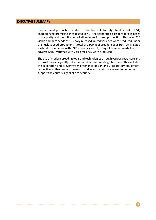#### **EXECUTIVE SUMMARY**

breeder seed production studies. Distinctness Uniformity Stability Test (DUST) characterized promising lines tested in NCT that generated passport data as bases in the purity and identification of all varieties for seed production. This year, 215 viable and pure seeds of 12 newly released inbred varieties were produced under the nucleus seed production. A total of 9,909kg of breeder seeds from 29 irrigated lowland (IL) varieties with 89% efficiency and 2,353kg of breeder seeds from 20 adverse (ADV) varieties with 73% efficiency were produced.

The use of modern breeding tools and technologies through various extra-core and external projects greatly helped attain different breeding objectives. This included the calibration and preventive maintenance of 144 and 3 laboratory equipment, respectively. Also, various research studies on hybrid rice were implemented to support the country's goal of rice security.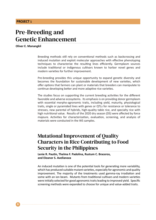# Pre-Breeding and Genetic Enhancement

**Oliver E. Manangkil**

**6**

Breeding methods still rely on conventional methods such as backcrossing and induced mutation and exploit molecular approaches with effective phenotyping techniques to characterize the resulting lines efficiently. Germplasm sources include traditional or indigenous cultivars known to harbor novel genes and modern varieties for further improvement.

Pre-breeding provides this unique opportunity to expand genetic diversity and becomes the foundation for sustainable development of new varieties, which offer options that farmers can plant or materials that breeders can manipulate to continue developing better and more adaptive rice varieties.

The studies focus on supporting the current breeding activities for the different favorable and adverse ecosystems. Its emphasis is on providing donor germplasm with essential morpho-agronomic traits, including yield, maturity, physiological traits, single or pyramided lines with genes or QTLs for resistance or tolerance to stresses, new parental of hybrids, high-quality table rice, and specialty rice with high nutritional value. Results of the 2020 dry season (DS) were affected by force majeure. Activities for characterization, evaluation, screening, and analysis of materials were conducted in the WS samples.

# Mutational Improvement of Quality Characters in Rice Contributing to Food Security in the Philippines

**Lenie R. Pautin, Thelma F. Padolina, Rustum C. Braceros, and Eleanor S. Avellanoza**

An induced mutation is one of the potential tools for generating more variability, which has produced suitable mutant varieties, especially for agronomic and quality improvement. The majority of the treatments used gamma-ray irradiation and some with an ion beam. Mutants from traditional cultivars and modern varieties were initially selected for good agronomic traits leading to improved yield. Specific screening methods were expanded to choose for unique and value-added traits.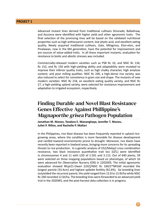Advanced mutant lines derived from traditional cultivars Dinorado, Ballatinaw, and Azucena were identified with higher yield and other agronomic traits. The final selection of the promising lines will be based on the validated nutritional properties such as high anthocyanin content, low phytic acid, and excellent eating quality. Newly acquired traditional cultivars, Galo, Milagrosa, Elon-elon, and Pinalawan, now in the M4 generation, have the potential for improvement and are sources of value-added traits. In all these important mutants, evaluation for resistance to biotic and abiotic stresses was included.

Commercially-released modern varieties such as PSB Rc 10, and NSIC Rc 134, Rc 152, and Rc 150 with high-yielding ability and adaptability were mutated to improve their inferior quality traits, such as high chalky character, high amylose content, and poor milling qualities. NSIC Rc 240, a high-dense rice variety, was also induced to select for consistency in grain size and shape. The mutants of new modern varieties: NSIC Rc 218, an excellent eating quality variety, and NSIC Rc 27, a high-yielding upland variety, were selected for resistance improvement and adaptation to irrigated ecosystem, respectively.

# Finding Durable and Novel Blast Resistance Genes Effective Against Phillippine's Magnaporthe grisea Pathogen Population

**Jonathan M. Niones, Teodora E. Mananghaya, Jennifer T. Niones, Juliet P. Rillon, and Rachelle P. Mallari**

In the Philippines, rice blast disease has been frequently reported in upland ricegrowing areas, where the condition is more favorable for disease development and rainfed lowland environments prone to drought. Moreover, rice blasts have recently been reported in lowland areas, bringing more concerns for its spreading threats to rice production. In a genetic analysis of US2/Malay2 cross combination resistance, two blast resistance quantitative trait loci (QTL) were identified in chromosomes 4 and 11 with LOD of 2.591 and 3.113. Out of 640 plants, 59 were selected on three mapping populations based on phenotype, of which 16 were advanced for Observation Nursery (ON) in 22020DS. The initial agronomic evaluation showed NILpi21-Owari [US2]/NSIC Rc 160/2\*NR160 recorded the longest panicle (33.4cm) and highest spikelet fertility (92.6%). Six breeding lines outyielded the recurrent parent; the yield ranged from 12.8 to 13.9t/ha while NSIC Rc 240 recorded 12.6t/ha. The breeding lines were forwarded to an advanced yield trial in the 2020WS, and the post-harvest data collection is in progress.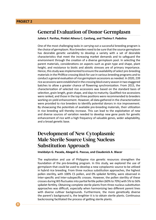### General Evaluation of Donor Germplasm

**Julieta F. Pariñas, Pinklet Athena C. Canilang, and Thelma F. Padolina**

One of the most challenging tasks in carrying out a successful breeding program is the choice of germplasm. Rice breeders need to be sure that the source germplasm has desirable genetic variability to develop a variety with a set of desirable characteristics that meet the increasing market demands and to safeguard the environment through the creation of a diverse germplasm pool. In selecting the parent materials, considerations on aspects such as grain type and shape, plant height, and resistance to biotic and abiotic stresses are of primary importance. Hence, this study was implemented to ensure the availability of select pre-breeding materials in the PhilRice crossing block for use in various breeding programs and to conduct a general evaluation of rice germplasm accessions as needed. In 2020, 239 rice accessions were established in the crossing block every season in two staggered batches to allow a greater chance of flowering synchronization. From 2015, the characterization of selected rice accessions was based on the standard basis of selection, grain length, grain shape, and days to maturity. Qualified rice accessions were ranked, and those in the top three positions were recommended to breeders working on yield enhancement. However, all data gathered in the characterization were provided to rice breeders to identify potential donors in rice improvement. By showcasing the potentials of available pre-breeding materials, their utilization in rice breeding will thereby increase. This can lead to the exploitation of new and diverse sources of variation needed to develop new gene pools for genetic enhancement of rice with a high frequency of valuable genes, wider adaptability, and a broad genetic base.

## Development of New Cytoplasmic Male Sterile Source Using Nucleus Substitution Approach

**Imeldalyn G. Pacada, Abegail G. Pascua, and Claudenick A. Blacer**

The exploration and use of Philippine rice genetic resources strengthen the foundation of the pre-breeding program. In this study, we explored the use of germplasm that could be used to develop a new cytoplasmic source to be utilized in hybrid rice breeding. From three nucleus substitution approaches, the highest pollen sterility, with 100% CS pollen, and 0% spikelet fertility, were observed in Inter-specific and Inter-subspecific crosses. However, the pollen sterility of these crosses during WS fluctuates into partial fertile pollen (60% to 70%) with 5% to 56% spikelet fertility. Obtaining complete sterile plants from three nucleus substitution approaches was difficult, especially when harmonizing two different parent lines with diverse cultivar backgrounds. Furthermore, the more genetically diverse the parent's background is, the lengthier it is to obtain sterile plants. Continuous backcrossing facilitated the process of getting sterile plants.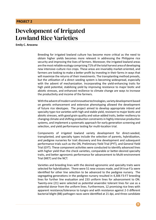# Development of Irrigated Lowland Rice Varieties

**Emily C. Arocena**

Breeding for irrigated lowland culture has become more critical as the need to obtain higher yields becomes more relevant in addressing the Philippine rice security and improving the lives of farmers. Moreover, the irrigated lowland areas are the most reliable ecology comprising 71% of the total harvest area of developing new intensive–culture rice crops. These areas are invariably market-oriented, and farmers are looking to make a better profit by investing in their farms in ways that will maximize the returns of their investments. The transplanting method prevails, but the utilization of a direct seeding system is becoming widespread, especially with the advent of mechanization. Incorporating the yield-enhancing traits for high yield potential, stabilizing yield by improving resistance to major biotic and abiotic stresses, and enhanced resilience to climate change are ways to increase the productivity and income of the farmers.

With the advent of modern and innovative technologies, variety development based on genetic enhancement and extensive phenotyping allowed the development of future rice ideotypes. The project aimed to develop appropriate inbred and specialty type rice varieties with high and stable yield, resistant to major biotic and abiotic stresses, with good grain quality and value-added traits, better resiliency to changing climate and shifting production constraints in highly intensive production systems, and implement a systematic approach for early generation screening and selection, and yield performance testing for multi-location trial.

Components of irrigated lowland variety development for direct-seeded, transplanted, and specialty types include the selection of parents, hybridization, and pedigree nurseries for trait discovery and line development and subsequent performance trials such as the ON, Preliminary Yield Trial (PYT), and General Yield Trial (GYT). These component activities were conducted to identify advanced lines with higher yield than the check varieties, comparable or better-desired specialty traits, and better agronomic performance for advancement to Multi-environment Trial (MET) and the NCT.

Varieties and breeding lines with the desired agronomic and specialty traits were selected for hybridization. There were 51 new crosses made, and 54 true F1s were identified for other line selection to be advanced to the pedigree nursery. The segregating generations in the pedigree nursery resulted in 4,306 F3-F7 breeding lines for further line evaluation and 233 uniform lines for advancement to ON. Twenty-one (21) were selected as potential anaerobic tolerant lines for use as a potential donor from the uniform lines. Furthermore, 12 promising rice lines with apparent resistance/tolerance to tungro and with resistance against 2-3 different bacterial blight (BB) pathogen races were identified at 21 dpi, and three candidate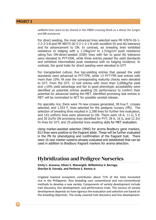uniform lines were to be shared in the PBBD crossing block as a donor for tungro and BB resistance.

For direct seeding, the most advanced lines selected were PR 47874-26-1- 2-2-2-3-B and PR 48575-20-3-2-1-2-1-B with excellent SV and AG tolerance and for advancement to ON. In contrast, six breeding lines exhibited resistance to lodging with a  $1.24 \text{kg/cm}^2$  to  $1.51 \text{kg/cm}^2$  push resistance rating.Two ON-direct-seeded (DSR) lines with fair to good AG tolerance were elevated to PYT-DSR, while three entries passed the yield standards and exhibited intermediate push resistance with no lodging incidence. In contrast, the good traits for direct seeding were elevated to GYT.

For transplanted culture, five top-yielding entries that passed the yield standards were advanced to PYT-TPR, while 13 PYT-TPR test entries with more than 10% YA over the corresponding maturity checks were elevated to GYT. From the GYT, 12 test entries with more than 5,000kg/ha yield and  $\geq$ 10% yield advantage and fair to good phenotypic acceptability were identified as potential entries awaiting DS performance to confirm their potential for advanced testing the MET. Identified promising test entries in MET will be nominated to NCT for possible varietal release.

For specialty rice, there were 74 new crosses generated, 38 true  $F_1$  crosses selected, and  $1,553 \text{ F}_3$  lines selected for the pedigree nursery (PN). The selection of breeding lines resulted in 2,398 lines for further line evaluation, and 143 uniform lines were advanced to ON. There were 18 A, 11 G, 5 P, and 20 Zn/Fe ON promising lines identified for PYT; 28 A, 16 G, and 12 Zn/ Fe lines for GYT, and 29 potential lines awaiting slots for MET evaluation.

Using marker-assisted selection (MAS) for aroma Bradbury gene markers, 813 lines were positive to the fragrant allele. These will be further evaluated in the PN for phenotyping and confirmation of the fragrant trait. There were 16 new marker systems already evaluated and established that can be used in addition to Bradbury fragrant markers for aroma detection.

### Hybridization and Pedigree Nurseries

**Emily C. Arocena, Oliver E. Manangkil, Wilhelmina V. Barroga, Sherilyn B. Estrada, and Perfecto S. Ramos Jr.**

Irrigated lowland ecosystem contributes about 71% of the total harvested rice in the Philippines. Rice breeding uses conventional and non-conventional methods to develop a new variety. Components of variety development include trait discovery, line development, and performance trials. The success of variety development depends on how rigorous the evaluation and selection are based on the breeding objectives. The study covered trait discovery and line development.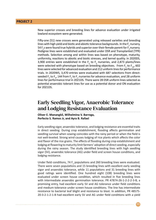New superior crosses and breeding lines for advance evaluation under irrigated lowland ecosystem were generated.

Fifty-one (51) new crosses were generated using released varieties and breeding lines with high yield and biotic and abiotic tolerance backgrounds. In the  $\mathsf{F}_\mathfrak{1}$  nursery, 54  $F_i$ s were found true hybrids and superior over their female parent for  $F_i$  nursery. Pedigree lines were established and evaluated under DSR and Transplanted (TPR) methods. Selection among and within lines was based on phenotype, maturity, uniformity, reactions to abiotic and biotic stresses, and kernel quality. In 2020DS, 3,900 entries were established in the  $F_2$  to  $F_4$  nurseries, and 2,873 plants/lines were selected with phenotype based on breeding objectives. From  $F_5$  to  $F_{10'}$  602 lines were selected for advanced evaluation and 212 uniform lines for performance trials. In 2020WS, 3,470 entries were evaluated with 687 selections from directseeded F<sub>2</sub> to F<sub>4</sub>, 144 from F<sub>5</sub> to F<sub>7</sub> nurseries for advance evaluation, and 28 uniform lines for performance trial in 2021DS. There were 28 DSR uniform lines selected as potential anaerobic tolerant lines for use as a potential donor and ON evaluation for 2021DS.

### Early Seedling Vigor, Anaerobic Tolerance and Lodging Resistance Evaluation

**Oliver E. Manangkil, Wilhelmina V. Barroga, Perfecto S. Ramos Jr, and Ayra B. Rafael**

Early seedling vigor, anaerobic tolerance, and lodging resistance are essential traits in direct seeding. During crop establishment, flooding affects germination and seedling survival when sowing coincides with the rainy period or when the field is not well-leveled. Strong wind causes lodging of rice plants which affects the color and flavor of the rice grains. The effects of flooding during crop establishment and lodging at flowering to maturity limit farmers' adoption of direct seeding, especially during the rainy season. The study identified breeding lines with high seedling vigor (SV), anaerobic tolerance (AG) under field and screen house conditions, and lodging resistance.

Under field conditions, 74  $F_2$  populations and 260 breeding lines were evaluated. There were seven populations and 15 breeding lines with excellent early seeding vigor and anaerobic tolerance, while 11 populations and 31 breeding lines with good ratings were identified. One hundred eight (108) breeding lines were evaluated under screen house condition, which resulted in five breeding lines with intermediate anaerobic germination tolerance. PR 47874-26-1-2-2-2-3-B, a promising entry, had excellent early SV and AG tolerance under field conditions and medium tolerance under screen house conditions. The line has intermediate resistance to bacterial leaf blight and resistance to blast. In addition, PR 48575- 20-3-2-1-2-1-B had excellent early SV and AG under field conditions with a yield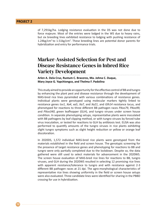of 7,291kg/ha. Lodging resistance evaluation in the DS was not done due to force majeure. Most of the entries were lodged in the WS due to heavy rains, but six breeding lines exhibited resistance to lodging with pushing resistance of 1.24kg/ $cm<sup>2</sup>$  to 1.51kg/ $cm<sup>2</sup>$ . These breeding lines are potential donor parents for hybridization and entry for performance trials.

## Marker-Assisted Selection for Pest and Disease Resistance Genes in Inbred Rice Variety Development

**Arlen A. Dela Cruz, Rustum C. Braceros, Ma. Johna C. Duque, Mary Joyce G. Yapchiongco, and Thelma F. Padolina**

This study aimed to provide an opportunity for the effective control of BB and tungro by enhancing the plant pest and disease resistance through the development of MAS-bred rice lines pyramided with various combinations of resistance genes. Individual plants were genotyped using molecular markers tightly linked to resistance genes *tsv1*, *Xa4*, *xa5*, *Xa7,* and *Xa21*, and *Glh14* resistance locus, and phenotyped for reactions to three different BB pathogen races *PXoo79, PXoo99,*  and *PXoo340*, green leafhopper (GLH), and tungro viruses under screen house condition. In separate phenotyping setups, representative plants were inoculated with BB pathogens by leaf clipping method, or with tungro viruses by forced tube virus inoculation, or tested for reactions to GLH by antibiosis test. ELISA was also performed to quantify amounts of the tungro viruses in rice plants exhibiting slight tungro symptoms such as slight height reduction or yellow or orange leaf discoloration.

In 2020DS, 1,572 individual MAS-bred rice plants were genotyped from the materials established in the field and screen house. The genotypic screening for the presence of target resistance genes and phenotyping for reactions to BB and tungro were only partially completed due to the lockdown. Despite so, the data gathered were still used to select materials for advancement in the 2020WS. The screen house evaluation of MAS-bred rice lines for reactions to BB, tungro viruses, and GLH during the 2020WS resulted in selecting 12 promising rice lines with apparent resistance/tolerance to tungro and with resistance against 2-3 different BB pathogen races at 21 dpi. The agro-morphological characteristics of representative rice lines showing uniformity in the field or screen house setups were also evaluated. Three candidate lines were identified for sharing in the PBBD crossing for use in hybridization.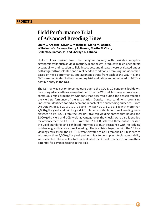## Field Performance Trial of Advanced Breeding Lines

**Emily C. Arocena, Oliver E. Manangkil, Gloria M. Osoteo, Wilhelmina V. Barroga, Henry T. Ticman, Martha V. Chico, Perfecto S. Ramos, Jr., and Sherilyn B. Estrada**

Uniform lines derived from the pedigree nursery with desirable morphoagronomic traits such as yield, maturity, plant height, productive tiller, phenotypic acceptability, and reaction to field insect pest and diseases were evaluated under both irrigated transplanted and direct-seeded conditions. Promising lines identified based on yield performance, and agronomic traits from each of the ON, PYT, and GYT were nominated to the succeeding trial evaluation and nominated to MET or possible entry in the NCT.

The DS trial was put on force majeure due to the COVID-19 pandemic lockdown. Promising advanced lines were identified from the WS trial; however, monsoon and continuous rains brought by typhoons that occurred during the season affected the yield performance of the test entries. Despite these conditions, promising lines were identified for advancement in each of the succeeding nurseries. From ON-DSR, PR 48575-20-3-2-1-2-1-B and PR47887-10-1-1-2-2-3-1-B with more than 7,000kg/ha yield and fair to good AG tolerance suitable for direct seeding were elevated to PYT-DSR. From the ON-TPR, five top-yielding entries that passed the 5,000kg/ha yield and 10% yield advantage over the checks were also identified for advancement to PYT-TPR. From the PYT-DSR, selected three entries passed the yield standards and exhibited intermediate push resistance with no lodging incidence, good traits for direct seeding. These entries, together with the 13 topyielding entries from the PYT-TPR, were elevated to GYT. From the GYT, test entries with more than 5,000kg/ha yield and with fair to good phenotypic acceptability were selected. These will be further evaluated for DS performance to confirm their potential for advance testing in the MET.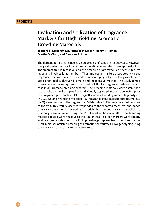# Evaluation and Utilization of Fragrance Markers for High-Yielding Aromatic Breeding Materials

**Teodora E. Mananghaya, Rachelle P. Mallari, Henry T. Ticman, Martha V. Chico, and Dionicko R. Arceo**

The demand for aromatic rice has increased significantly in recent years. However, the yield performance of traditional aromatic rice varieties is exceptionally low. The fragrant trait is recessive, and the breeding of aromatic rice needs extensive labor and involves large numbers. Thus, molecular markers associated with the fragrance trait will assist rice breeders in developing a high-yielding variety with good grain quality through a simple and inexpensive method. This study aimed to evaluate a marker system to be used in MAS for fragrance traits in rice and thus in an aromatic breeding program. The breeding materials were established in the field, and leaf samples from individually tagged plants were collected prior to a fragrance gene analysis. Of the 2,420 aromatic breeding materials genotyped in 2020 DS and WS using multiplex PCR fragrance gene markers (Bradbury), 813 (34%) were positive to the fragrant trait/allele, while 1,439 were detected negative to the trait. This result closely corresponded to the reported recessive inheritance of fragrance trait in rice. Breeding materials that showed fragrant trait/allele to Bradbury were screened using the INS 3 marker; however, all of the breeding materials tested were negative to the fragrant trait. Sixteen markers were already evaluated and established using Philippine rice germplasm background and can be used in marker-assisted breeding of aromatic rice varieties. DNA genotyping using other fragrance gene markers is in progress.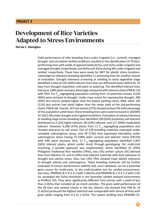# Development of Rice Varieties Adapted to Stress Environments

**Norvie L. Manigbas**

Field performance of elite breeding lines under irrigated (i.e., control), managed drought, and simulated rainfed conditions resulted in the identification of 70 bestperforming lines with yields of approximately 6t/ha; and 1t/ha under irrigated and managed drought, respectively; and 4t/ha and 3t/ha during WS under irrigated and rainfed, respectively. These lines were ready for MET for abiotic stress locations. Submergence tolerance breeding identified 11 promising lines for another season of evaluation. Drought tolerance screening at seedling to early vegetative stage identified a total of 102 (44%) tolerant lines that can withstand water deficit for 24 days from drought imposition until plant re-watering. The identified tolerant lines had up to 138% plant recovery advantage compared with tolerant check (PSB Rc 14) with 43%. For  $F_{2,3}$  segregating population coming from 13 potential crosses, 4,634 (46%) were resistant to drought. Under mass screen for reproductive drought, 280 (30%) test entries yielded higher than the lowest yielding check, IR64, while 105 (11%) test entries had yields higher than the mean yield of the top-performing check, PSB Rc 68. Overall, 247 test entries (27%) showed at least 5% yield advantage of the population yield mean; these breeding lines were seed increased in 2020WS for 2021 ON under drought and irrigated conditions. Evaluation of salinity tolerance at seedling stage across breeding lines identified 190 (65%) putatively salt-tolerant distributed as 5 (2%) highly tolerant, 68 (23%) tolerant, and 117 (40%) moderately tolerant. However, 4,288 (37%) plants from 11  $F_{2,2}$  segregating populations also showed tolerance to salt stress. Out of 378 breeding materials evaluated under complete submergence setup, only 49 (13%) lines expressed tolerability under submergence stress having 75-100% plant survival and tolerant check (FR13A) with 94% plant recovery. Also, 11  $F_{2,3}$  segregating population identified 3,947 (36%) tolerant plants, which confer result through genotyping. For multi-trait searching, a parallel approach was implemented, which identified 25 (39%) Philippine Traditional Rice Varieties (TRVs), two (7%) anther culture (AC)-derived lines from Mestiso 55, and 6 (14%) heat-tolerant materials with dual tolerance to drought and salinity stress. Also, two (3%) TRVs showed triple abiotic tolerance to drought salinity and submergence. These breeding materials will be further evaluated to ensure performance stability and, once validated, can be a potential gene source for multi-traits. In the multi-location test for rainfed environment, two lines, PR49035-B-5-4-3-2-3 with 5.46t/ha and PR49036-B-1-4-2-1-3 with 5.4t/ ha, exceeded the 5t/ha threshold in the favorable rainfed lowland environment at PhilRice CES. They were significantly different from entries with a yield of less than 4.0t/ha that included all six check varieties. The grain yield performance of the 28 lines and varietal checks in the Sta. Maria's site showed that PSB Rc 14 (1.6t/ha) produced the highest yield but was comparable with almost all lines with grain yields ranging from 0.3 to 1.5t/ha. The lowest yielding lines PR44485-25-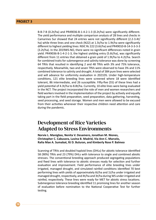B-B-7-B (0.2t/ha) and PR49036-B-1-4-2-1-3 (0.2t/ha) were significantly different. The yield performance and multiple comparison analysis of 28 lines and checks in Camarines Sur showed that 24 entries were not significantly different (2.2-3.4t/ ha) while three lines and one check (N22) at 1.5t/ha to 1.9t/ha were significantly different to highest yielding lines: NSIC Rc 222 (3.6t/ha) and PR49010-B-14-3-3-3-3 (3.2t/ha). In the 2019WS-NO, there were no significant differences noted in grain yield. PR49036-B-1-4-2-1-3, the highest yielding entry (5.6t/ha), was significantly different from 11 entries that obtained a grain yield of 1.9t/ha to 4.2t/ha. Search for combined traits for submergence and salinity tolerance was done by screening 64 TRVs that resulted in identifying 2 and 48 TRVs with 3% and 75% tolerance, respectively. Meanwhile, two and seven TRVs were observed to have 3% and 11% combined tolerance to salinity and drought. A total of 384 pure lines were selected and will advance for uniformity evaluation in 2021DS. Under high-temperature conditions, 121 elite breeding lines were screened where 18 were identified tolerant, 86 intermediate, and 26 susceptible. Fifty-five (55) of these lines had a yield potential of 4.3t/ha to 8.8t/ha. Currently, 10 elite lines were being evaluated in the NCT. The project incorporated the role of men and women researchers and field workers involved in the implementation of the project by actively and equally taking part in the field preparation, seed preparation, data gathering, harvesting, seed processing, and seed storage. Women and men were allowed to be excused from their activities whenever their respective children need attention and care during the pandemic.

### Development of Rice Varieties Adapted to Stress Environments

**Norvie L. Manigbas, Nenita V. Desamero, Jonathan M. Niones, Christopher C. Cabusora, Luvina B. Madrid, Via Ann C. Marcelo, Raña Mae A. Sumabat, RJ D. Buluran, and Kimberly Rose P. Balmeo**

Scanning of TRVs and doubled haploid lines (DHLs) for abiotic tolerance identified 58 (90%) TRVs and 23 (79%) DHLs with tolerance to single and combined abiotic stresses. The conventional breeding approach produced segregating populations and fixed lines with tolerance to abiotic stresses ready for selection and further evaluation and improvement. Field performance of elite breeding lines under irrigated, managed drought, and simulated rainfed conditions identified 70 best performing lines with yields of approximately 6t/ha and 1t/ha under irrigated and managed drought, respectively, and 4t/ha and 3t/ha during WS under irrigated and rainfed, respectively. These lines were ready for MET for abiotic stress locations. Submergence tolerance breeding identified 11 promising lines for another season of evaluation before nomination to the National Cooperative Test for further testing.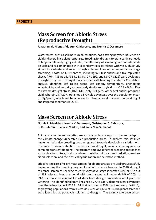# Mass Screen for Abiotic Stress (Reproductive Drought)

**Jonathan M. Niones, Via Ann C. Marcelo, and Nenita V. Desamero**

Water stress, such as soil moisture fluctuations, has a strong negative influence on yield and overall rice plant responses. Breeding for drought-tolerant cultivars needs to target a relatively high yield. Still, the efficiency of screening methods depends on yield and its combination with secondary traits correlated with yield. This study aimed to evaluate and select drought-tolerant lines under reproductive stage screening. A total of 1,109 entries, including 926 test entries and five replicated checks (IR64, PSB Rc 14, PSB Rc 68, NSIC Rc 192, and NSIC Rc 222) were evaluated through two cycles of drought that coincided with heading to maturity. Correlation analysis identified leaf rolling score, leaf canopy temperature, phenotypic acceptability, and maturity as negatively significant to yield ( $r = -0.38 - 0.54$ ). Due to extreme drought stress (10% SMC), only 30% (285) of the test entries produced yield, wherein 247 (27%) obtained a 5% yield advantage over the population mean (6.72g/plant), which will be advance to observational nurseries under drought and irrigated conditions in 2021.

### Mass Screen for Abiotic Stress

**Norvie L. Manigbas, Nenita V. Desamero, Christopher C. Cabusora, RJ D. Buluran, Luvina V. Madrid, and Raña Mae Sumabat**

Abiotic stress-tolerant varieties are a sustainable strategy to cope and adapt in the climate change-vulnerable rice production areas. To address this, PhilRice implemented a rice breeding program geared towards developing varieties with tolerance to various abiotic stresses such as drought, salinity, submergence, or complete transient flooding. The program employs different breeding approaches such as in vitro culture, in vitro and seed mutation with gamma irradiation, markeraided selection, and the classical hybridization and selection method.

Effective and cost-efficient mass screens for abiotic stresses are vital for successfully implementing the breeding program for abiotic stress tolerance. In 2020, drought tolerance screen at seedling to early vegetative stage identified 44% or 102 out of 231 tolerant lines that could withstand gradual soil water deficit of 20% to 39% soil moisture content for 24 days from drought imposition until plant rewatering. The identified tolerant lines had a 2% to 138% plant recovery advantage over the tolerant check PSB Rc 14 that recorded a 43% plant recovery. With  $F_{2,3}$ segregating populations from 13 crosses, 46% or 4,634 of 10,104 plants screened were identified as putatively tolerant to drought. The salinity tolerance screen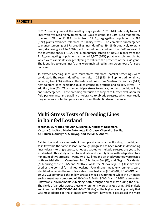of 292 breeding lines at the seedling stage yielded 192 (66%) putatively tolerant lines with five (2%) highly tolerant, 68 (23%) tolerant, and 119 (41%) moderately tolerant. Of the 11,599 plants from 11  $F_{2,3}$  segregating populations, 4,288 (37%) plants exhibited tolerance to salinity stress. The complete submergence tolerance screening of 378 breeding lines identified 49 (13%) putatively tolerant lines, displaying 75% to 100% plant survival compared with the 94% survival of the tolerance check FR13A. The submergence screen of 10,937 plants from the 11  $F_{2,3}$  segregating populations extracted 3,947 (36%) putatively tolerant plants, which were candidates for genotyping to validate the presence of the *sub1* gene. The identified tolerant lines/plants were maintained in the screen house for seed recovery.

To extract breeding lines with multi-stress tolerance, parallel screenings were conducted. The results identified the traits in 25 (39%) Philippine traditional rice varieties, two (7%) anther culture-derived lines from Mestiso 55, and six (14%) heat-tolerant lines exhibiting dual tolerance to drought and salinity stress. In addition, two (3%) TRVs showed triple stress tolerance, i.e., to drought, salinity, and submergence. These breeding materials are subject to further evaluation for field performance and stability of tolerance to abiotic stresses, which eventually may serve as a potential gene source for multi-abiotic stress tolerance.

## Multi-Stress Tests of Breeding Lines in Rainfed Lowland

**Jonathan M. Niones, Via Ann C. Marcelo, Nenita V. Desamero, Victoria C. Lapitan, Marie Antoinette R. Orbase, Cherryl U. Seville, AJ T. Ruales, Anielyn Y. Alibuyog, and Melvin S. Andres**

Rainfed lowland rice areas exhibit multiple stresses such as flooding, drought, and salinity within the same season. Although progress has been made in developing lines tolerant to single stress, varieties adapted to multiple stresses are yet to be established. This study aimed to evaluate and identify lines with adaptation to a minimum of two stresses. Twenty-two (22) lines and six check varieties were tested in three trial sites in Camarines Sur (CS), Ilocos Sur (IS), and Negros Occidental (NO) during the 2019WS and 2020WS, while the Nueva Ecija (NE) test site was used as the control for rainfed lowland. Four distinct mega-environments were identified, wherein the most favorable three test sites (20 WS-NE, 20 WS-NO, and 19 WS-CS) comprised the mildly stressed mega-environment while the  $2<sup>nd</sup>$  mega environment was composed of 19 WS-NE. Both 19 WS-IS and 19-NO represented unfavorable environments exhibiting both drought and salinity during the trial. The yields of varieties across these environments were analyzed using GxE analysis and identified **PR49036-B-1-4-2-1-3** (2.58t/ha) as the highest yielding variety that was most adapted to the  $1<sup>st</sup>$  mega-environment; however, it possessed the most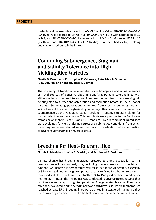unstable yield across sites, based on AMMI Stability Value. **PR49035-B-5-4-3-2-3** (2.41t/ha) was adapted to 19 WS-NE; PR49029-B-9-4-3-1-2 with adaptation to 19 WS-IS; and PR40330-4-2-B-4-3-1 was suited to 19 WS-NO. Moreover, PSB Rc 14 (2.21t/ha) and **PR49012-B-4-2-1-3-1** (2.16t/ha) were identified as high-yielding and stable based on stability indexes.

# Combining Submergence, Stagnant and Salinity Tolerance into High Yielding Rice Varieties

**Nenita V. Desamero, Christopher C. Cabusora, Raña Mae A. Sumabat, RJ D. Buluran, and Kimberly Rose P. Balmeo**

The screening of traditional rice varieties for submergence and saline tolerance as novel sources of genes resulted in identifying putative tolerant lines with either single or combined tolerance. Pure lines derived from the screening will be subjected to further characterization and evaluation before its use as donor parents. Segregating populations generated from crossing submergence and saline tolerant lines with high-yielding varieties/cultivars were also screened for submergence at the vegetative stage, resulting in putative tolerant plants for further selection and evaluation. Tolerant plants were positive to the Sub1 gene by molecular analysis using SC3 and ART5 markers. Fixed recombinant inbred lines were evaluated for yield under non-stress and submerged conditions, from which promising lines were selected for another season of evaluation before nomination to NCT for submergence or multiple stress.

### Breeding for Heat-Tolerant Rice

**Norvie L. Manigbas, Luvina B. Madrid, and Ferdinand B. Enriquez**

Climate change has brought additional pressure to crops, especially rice. Air temperature will continuously rise, including the occurrence of drought and typhoon. An increase in temperature will make rice more vulnerable, especially at 35°C during flowering. High temperature leads to failed fertilization resulting in increased spikelet sterility and eventually 10% to 15% yield decline. Breeding for heat-tolerant lines in the Philippines was conducted to develop rice genotypes that can tolerate and adapt to high temperatures. The generated breeding lines were screened, evaluated, and selected in Cagayan and Nueva Ecija, where temperatures reached at least 35°C. Breeding lines were planted in a staggered manner so that their flowering coincided with the hottest period of the year, between April and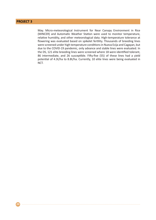May. Micro-meteorological Instrument for Near Canopy Environment in Rice (MINCER) and Automatic Weather Station were used to monitor temperature, relative humidity, and other meteorological data. High-temperature tolerance at flowering was evaluated based on spikelet fertility. Thousands of breeding lines were screened under high temperature conditions in Nueva Ecija and Cagayan, but due to the COVID-19 pandemic, only advance and stable lines were evaluated. In the DS, 121 elite breeding lines were screened where 18 were identified tolerant, 86 intermediate, and 26 susceptible. Fifty-five (55) of these lines had a yield potential of 4.3t/ha to 8.8t/ha. Currently, 10 elite lines were being evaluated in NCT.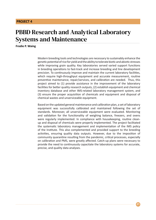# PBBD Research and Analytical Laboratory Systems and Maintenance

**Frodie P. Waing**

Modern breeding tools and technologies are necessary to sustainably enhance the genetic potential of rice for yield and the ability to tolerate biotic and abiotic stresses while improving grain quality. Key laboratories served varied support functions in breeding operations to fast-track and increase breeding and line development precision. To continuously improve and maintain the current laboratory facilities, which require high-throughput equipment and accurate measurement, routine preventive maintenance, repair/services, and calibration are needed. Thus, this project aimed to (1) provide assistance in the improvement of the laboratory facilities for better quality research outputs, (2) establish equipment and chemical inventory database and other IMS-related laboratory management system, and (3) ensure the proper acquisition of chemicals and equipment and disposal of chemical wastes and unserviceable equipment.

Based on the updated general maintenance and calibration plan, a set of laboratory equipment was successfully calibrated and maintained following the set of standards. Moreover, all unserviceable equipment were evaluated. Monitoring and validation for the functionality of weighing balance, freezers, and ovens were regularly implemented. In compliance with housekeeping, routine cleanup and disposal of chemicals were properly implemented. The project facilitated the systematic laboratory management and implementation of the IMS policy of the Institute. This also complemented and provided support to the breeding activities, ensuring quality data outputs. However, due to the imposition of community quarantine resulting from the pandemic, critical processes, especially on calibration and PMS, were greatly affected. Catch-up plans were necessary to provide the need to continuously capacitate the laboratory systems for accurate, precise, and quality data analyses.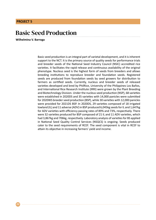# Basic Seed Production

**Wilhelmina V. Barroga**

Basic seed production is an integral part of varietal development, and it is inherent support to the NCT. It is the primary source of quality seeds for performance trials and breeder seeds of the National Seed Industry Council (NSIC) accredited rice varieties. It facilitates the rapid release and continuous availability of the original phenotype. Nucleus seed is the highest form of seeds from breeders and allows breeding institutions to reproduce breeder and foundation seeds. Registered seeds are produced from foundation seeds by seed growers for distribution to farmers as certified seeds. Currently, nucleus and breeder seeds of released varieties developed and bred by PhilRice, University of the Philippines Los Baños, and International Rice Research Institute (IRRI) were grown by the Plant Breeding and Biotechnology Division. Under the nucleus seed production (NSP), 68 varieties were established in 2020DS and 35 varieties with 14,000 panicles were submitted for 2020WS breeder seed production (BSP), while 30 varieties with 12,000 panicles were provided for 2021DS BSP. In 2020DS, 29 varieties composed of 18 irrigated lowland (IL) and 11 adverse (ADV) in BSP produced 6,045kg seeds for IL and 1,647kg for ADV varieties with efficiency passing rates of 89% and 73%, respectively. There were 32 varieties produced for BSP composed of 21 IL and 11 ADV varieties, which had 3,867kg and 706kg, respectively. Laboratory analysis of varieties for BS applied in National Seed Quality Control Services (NSQCS) is ongoing. Seeds produced cater to the seed requirements of RCEF. The seed component is vital in RCEF to attain its objective in increasing farmers' yield and income.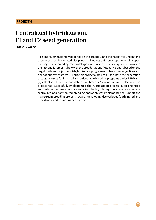# Centralized hybridization, F1 and F2 seed generation

#### **Frodie P. Waing**

Rice improvement largely depends on the breeders and their ability to understand a range of breeding-related disciplines. It involves different steps depending upon the objectives, breeding methodologies, and rice production systems. However, the first and foremost is how well the breeders identify genetic donors based on the target traits and objectives. A hybridization program must have clear objectives and a set of priority characters. Thus, this project aimed to (1) facilitate the generation of target crosses for irrigated and unfavorable breeding programs under PBBD and (2) establish F1 and F2 populations for breeders' evaluation and selection. The project had successfully implemented the hybridization process in an organized and systematized manner in a centralized facility. Through collaborative efforts, a centralized and harmonized breeding operation was implemented to support the mainstream breeding projects towards developing rice varieties (both inbred and hybrid) adapted to various ecosystems.

**23**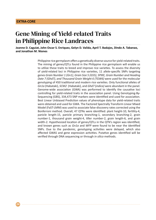# Gene Mining of Yield-related Traits in Philippine Rice Landraces

**Joanne D. Caguiat, John Oscar S. Enriquez, Gelyn D. Valida, April T. Badajos, Dindo A. Tabanao, and Jonathan M. Niones**

> Philippine rice germplasm offers a genetically diverse source for yield-related traits. The mining of genes/QTLs found in the Philippine rice germplasm will enable us to utilize these traits to breed and improve rice varieties. To assess the diversity of yield-related loci in Philippine rice varieties, 11 allele-specific SNPs targeting genes *Grain Number 1 (Gn1), Grain Size 5 (GS5), SPIKE, Grain Number and Heading Date 7 (Ghd7), and Thousand Grain Weight 6 (TGW6)* were used for the molecular genotyping of 450 traditional and modern rice varieties. Only functional alleles of *Gn1a* (Habataki), *SCM2* (Habataki), and *Ghd7* (*indica)* were abundant in the panel. Genome-wide association (GWA) was performed to identify the causative loci controlling for yield-related traits in the association panel. Using Genotyping-By-Sequencing (GBS), 334,473 SNP markers were identified and used for association. Best Linear Unbiased Prediction values of phenotype data for yield-related traits were obtained and used for GWA. The Factored Spectrally Transform Linear Mixed Model (FaST-LMM) was used to associate false-discovery rates corrected using the Bonferroni method. Overall, 47 QTNs were identified: plant height-10, fertility-4, panicle length-15, panicle primary branching-1, secondary branching-2, grain number-1, thousand grain weight-4, tiller number-2, grain length-6, and grain width-2. Hypothesized location of genes/QTLs in the QTN's region was identified, and known genes such as *Gn1a* and *WFP* were found to be near the identified SNPs. Due to the pandemic, genotyping activities were delayed, which also affected GWAS and gene expression activities. Putative genes identified will be verified through DNA sequencing or through *in silico* methods.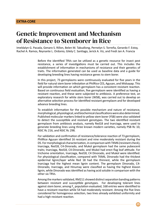# Genetic Improvement and Mechanism of Resistance to Stemborer in Rice

Imeldalyn G. Pacada, Genaro S. Rillon, Belen M. Tabudlong, Pernelyn S. Torreña, Gerardo F. Estoy, Rachel A. Ramos, Reynante L. Ordonio, Gilely C. Santiago, Jerick A. Viz, and Fredi Jan A. Francia

> Before the identified TRVs can be utilized as a genetic resource for insect pest resistance, a series of investigations must be carried out. This includes the establishment of information in mechanisms of resistance and their genetics of traits. The information generated can be used as baseline data and a guide for developing breeding lines having resistance genes to stem borer.

> In this project, 73 germplasms were continuously evaluated for five years in the field for natural stem borer infestation at PhilRice CES, Agusan, and Midsayap. This will provide information on which germplasm has a consistent resistant reaction. Based on continuous field evaluation, five germplasm were identified as having a resistant reaction, and these were subjected to antibiosis. A preference test, an exploratory research for white stem borer (WSB), was carried out to develop an alternative selection process for identified resistant germplasm and for developed advance breeding lines.

> To establish information for the possible mechanism and nature of resistance, morphological, physiological, and biochemical classifications were also determined. Published molecular markers linked to yellow stem borer (YSB) were also validated to detect the susceptible and resistant genotypes. The two identified resistant germplasm from antibiosis analysis, namely Red18 and Inarciaga, were used to generate breeding lines using three known modern varieties, namely PSB Rc 10, NSIC Rc 216, and NSIC Rc 298.

> For validation and confirmation of resistance/tolerance reaction of 73 germplasm, PhilRice Agusan identified 16 resistant and nine moderately resistant during the DS. For morphological characterization, in comparison with TKM6 (resistant check), Inarciaga, Red18, C4-Dinorado, and Mukol germplasm had the same pubescent traits; Inarciaga, Red18, C4-Dinorado, and Mukol had erect flag leaf attitude. For trichome orientation, Inarciaga, Red18, C4 Dinorado, and Mukol were identified. For physiological classification, compared with TKM6, Dinorado had the thickest epidermal lignin/layer while Red 18 had the thinnest, while the germplasm Inarciaga had the highest mean lignin content. The germplasm Dinorado, C4- Dinorado, Inarciaga, and Hinumay were classified as having the highest klason lignin, while Dinorado was identified as having acid soluble in comparison with the other six TRVs.

> Among the markers validated, RM211 showed distinct separation banding patterns between resistant and susceptible genotypes. For developing tolerant lines against stem borer, among  $F_5$  population evaluated, 168 entries were identified to have a resistant reaction while 54 had moderately resistant. Among the five lines considered for homogenous selection, two lines already exhibited uniformity and had a high resistant reaction.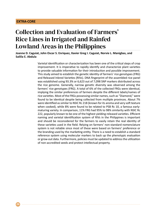**26**

# Collection and Evaluation of Farmers' Rice Lines in Irrigated and Rainfed Lowland Areas in the Philippines

**Joanne D. Caguiat, John Oscar S. Enriquez, Xavier Greg I. Caguiat, Norvie L. Manigbas, and Sailila E. Abdula**

> Varietal identification or characterization has been one of the critical steps of crop improvement. It is imperative to rapidly identify and characterize plant varieties to provide valuable information for their introduction and possible improvement. This study aimed to establish the genetic identity of farmers' rice genotypes (FRG) and Released Inbred Varieties (RIVs). DNA fingerprint of the assembled rice panel was established using 93.3% or 6,623 out of 7,098 SNP markers distributed across the rice genome. Generally, narrow genetic diversity was observed among the farmers' rice genotypes (FRG). A total of 6% of the collected FRGs were identical, implying the similar preferences of farmers despite the different labels/names of rice varieties. Most of the FRGs possessing similar names, such as "Diamond," were found to be identical despite being collected from multiple provinces. About 7% were identified as similar to NSIC Rc 218 (known for its aroma and very soft texture when cooked), while 8% were found to be related to PSB Rc 10, a famous earlymaturing variety. In comparison, 11% FRG had 95% to 98% similarity with NSIC Rc 222, popularly known to be one of the highest yielding released varieties. Efficient naming and varietal identification system of RIVs in the Philippines is important and should be reconsidered for the farmers to easily retain the real identity of these varieties used in the field. Relying on farmers' non-standard nomenclature system is not reliable since most of these were based on farmers' preference or the branding used by the marketing entity. There is a need to establish a standard reference system using molecular markers to back up the phenotypic evaluation or grow-out data. Furthermore, policies must be updated to address the utilization of non-accredited seeds and protect intellectual property.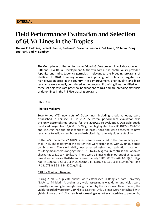# Field Performance Evaluation and Selection of GUVA Lines in the Tropics

**Thelma F. Padolina, Lenie R. Pautin, Rustum C. Braceros, Jesson Y. Del Amen, CP Tad-o, Dong Soo-Park, and M Bombay**

> The Germplasm Utilization for Value Added (GUVA) project, in collaboration with IRRI and RDA (Rural Development Authority)-Korea, had continuously provided Japonica and Indica-Japonica germplasm relevant to the breeding programs of PhilRice. In 2020, breeding focused on improving cold tolerance targeted for high elevation areas in the country. Yield improvement, grain quality, and blast resistance were equally considered in the process. Promising lines identified with these set objectives are potential nominations to NCT and pre-breeding materials or donor lines in the PhilRice crossing program.

#### **FINDINGS**

#### **PhilRice Maligaya**

Seventy-two (72) new sets of GUVA lines, including check varieties, were established in PhilRice CES in 2020DS. Partial performance evaluation was the only accomplished source for the 2020WS re-evaluation. Available seeds produced ranged from 1,690 to 3,200g. Two highlighted lines IR31012-B-39-1-2-3 and 15K1494 had the most seeds of at least 3 tons and were observed to have resistance to yellow stem borer and exhibited high phenotypic acceptability.

In the WS, the same 72 GUVA lines were re-evaluated in the preliminary yield trial (PYT). The majority of the test entries were sister lines, with 37 unique cross combinations. The yield ability was assessed using two replication data with resulting mean yields ranging from 1,615 to 4,232kg/ha. In contrast, the Japonica checks had 2,510 to 4,194kg/ha. There were 14 lines with an output of at least 3t/ ha and four entries with 4t/ha and above, namely: 1 IR 130992-B-44-3-1-1(4,131kg/ ha), IR 130996-B-55-3-2-3 (4,232kg/ha), IR 131022-B-23-2-3-1(4,024kg/ha), and IR 131073-B-36-3-1-B (4202kg/ha).

#### **BSU, La Trinidad, Benguet**

During 2020DS, duplicate entries were established in Benguet State University (BSU), La Trinidad. A preliminary yield assessment was done, and yields were dismally low owing to drought brought about by the lockdown. Nevertheless, the yields recorded were from 219.7kg to 1,884kg. Only 14 lines were highlighted with yields of more than 1t/ha. Leaf blast screening was not evaluated due to pandemic;

**27**